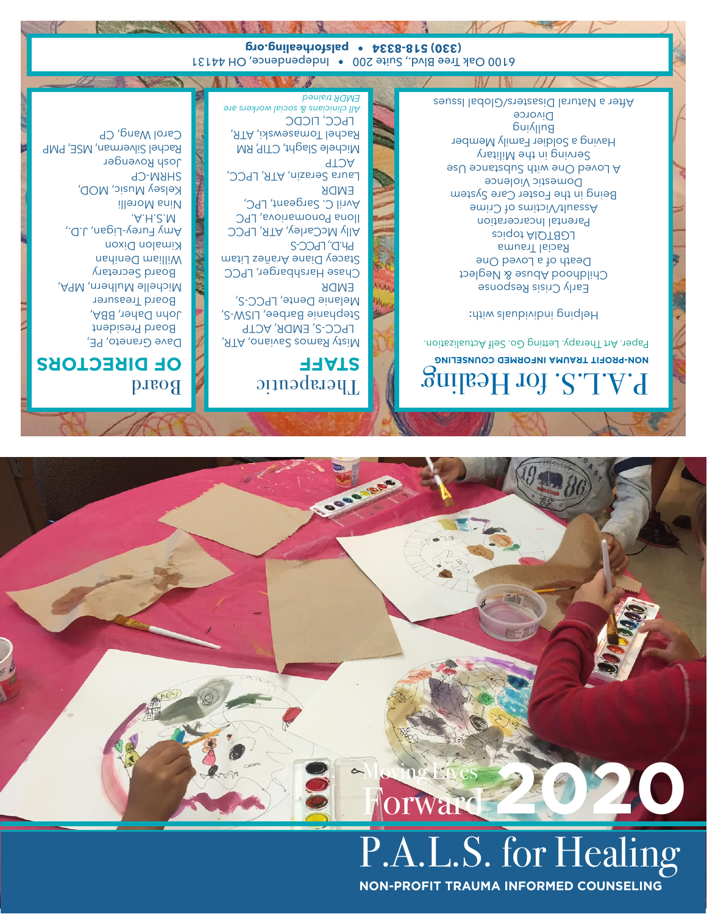### **NON-PROFIT TRAUMA INFORMED COUNSELING**



#### Board **OF DIRECTORS** Dave Graneto, PE, Board President

John Daher, BBA, Board Treasurer Michelle Mulhern, MPA, Board Secretary William Denihan Kimalon Dixon Amy Furey-Ligan, J.D., M.S.H.A. Nina Morelli Kelsey Music, MOD, SHRM-CP Josh Rovenger Rachel Silverman, MSE, PMP Carol Wang, CP

#### Therapeutic **STAFF**

Misty Ramos Saviano, ATR, LPCC-S, EMDR, ACTP Stephanie Barbee, LISW-S, Melanie Dente, LPCC-S, EMDR Chase Harshbarger, LPCC Stacey Diane Arañez Litam

**Ph.D., LPCC-S** Ally McCarley, ATR, LPCC Ilona Ponomariova, LPC Avril C. Sargeant, LPC, EMDR Laura Serazin, ATR, LPCC, ACTP

Michele Slaght, CTIP, RM Rachel Tomasewski, ATR, LPCC, LICDC *All clinicians & social workers are EMDR trained*

#### 2. for Healing **UMA-PROFIT TRAUMA INFORMED COUNSELING**

Paper. Art Therapy. Letting Go. Self Actualization.

: Helping individuals with

Early Crisis Response Childhood Abuse & Neglect Death of a Loved One Racial Trauma LGBTQIA topics Parental Incarceration Assault/Victims of Crime Being in the Foster Care System Domestic Violence A Loved One with Substance Use Serving in the Military Having a Soldier Family Member Bui<sub>llu</sub>g **Divorce** After a Natural Disasters/Global Issues

W

Independence, Ouite 200 . Independence, OH 44131 **(330) 518-8334 • palsforhealing.org**